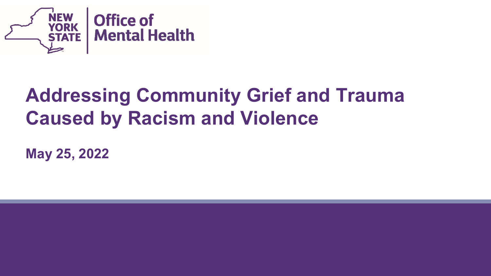

#### **Addressing Community Grief and Trauma Caused by Racism and Violence**

**May 25, 2022**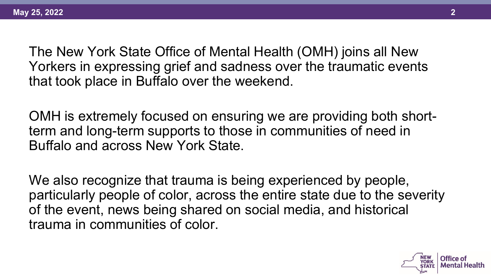The New York State Office of Mental Health (OMH) joins all New Yorkers in expressing grief and sadness over the traumatic events that took place in Buffalo over the weekend.

OMH is extremely focused on ensuring we are providing both shortterm and long-term supports to those in communities of need in Buffalo and across New York State.

We also recognize that trauma is being experienced by people, particularly people of color, across the entire state due to the severity of the event, news being shared on social media, and historical trauma in communities of color.

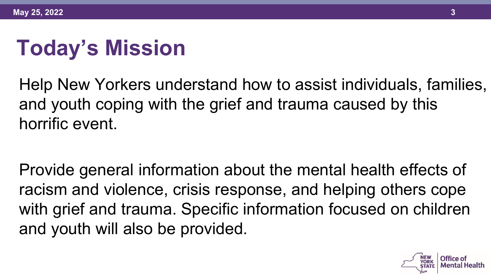# **Today's Mission**

Help New Yorkers understand how to assist individuals, families, and youth coping with the grief and trauma caused by this horrific event.

Provide general information about the mental health effects of racism and violence, crisis response, and helping others cope with grief and trauma. Specific information focused on children and youth will also be provided.

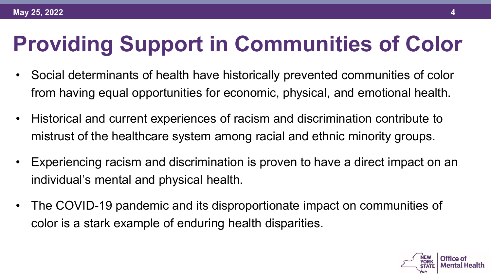# **Providing Support in Communities of Color**

- Social determinants of health have historically prevented communities of color from having equal opportunities for economic, physical, and emotional health.
- Historical and current experiences of racism and discrimination contribute to mistrust of the healthcare system among racial and ethnic minority groups.
- Experiencing racism and discrimination is proven to have a direct impact on an individual's mental and physical health.
- The COVID-19 pandemic and its disproportionate impact on communities of color is a stark example of enduring health disparities.

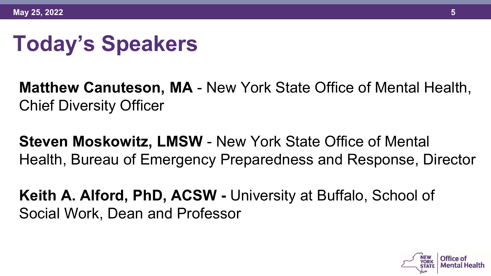# **Today's Speakers**

**Matthew Canuteson, MA** - New York State Office of Mental Health, Chief Diversity Officer

**Steven Moskowitz, LMSW** - New York State Office of Mental Health, Bureau of Emergency Preparedness and Response, Director

**Keith A. Alford, PhD, ACSW -** University at Buffalo, School of Social Work, Dean and Professor

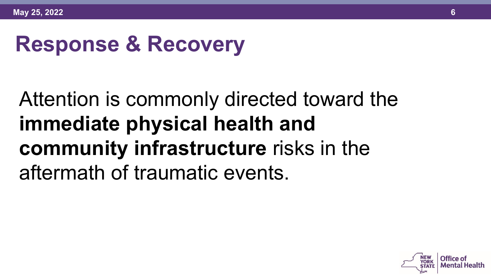# **Response & Recovery**

# Attention is commonly directed toward the **immediate physical health and community infrastructure** risks in the aftermath of traumatic events.

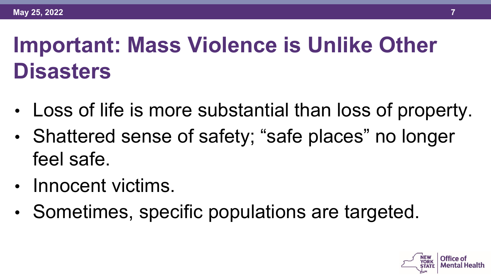# **Important: Mass Violence is Unlike Other Disasters**

- Loss of life is more substantial than loss of property.
- Shattered sense of safety; "safe places" no longer feel safe.
- Innocent victims.
- Sometimes, specific populations are targeted.

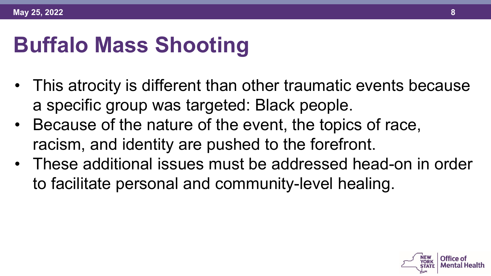# **Buffalo Mass Shooting**

- This atrocity is different than other traumatic events because a specific group was targeted: Black people.
- Because of the nature of the event, the topics of race, racism, and identity are pushed to the forefront.
- These additional issues must be addressed head-on in order to facilitate personal and community-level healing.

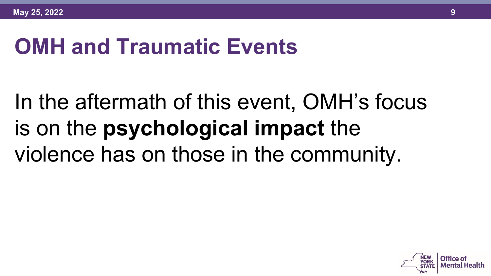## **OMH and Traumatic Events**

# In the aftermath of this event, OMH's focus is on the **psychological impact** the violence has on those in the community.

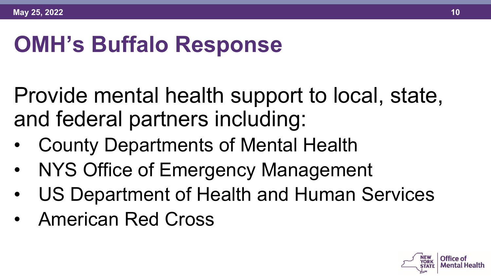# **OMH's Buffalo Response**

Provide mental health support to local, state, and federal partners including:

- County Departments of Mental Health
- NYS Office of Emergency Management
- US Department of Health and Human Services
- American Red Cross

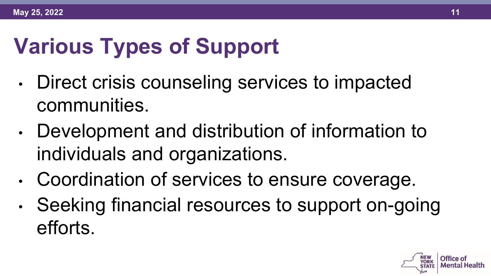# **Various Types of Support**

- Direct crisis counseling services to impacted communities.
- Development and distribution of information to individuals and organizations.
- Coordination of services to ensure coverage.
- Seeking financial resources to support on-going efforts.

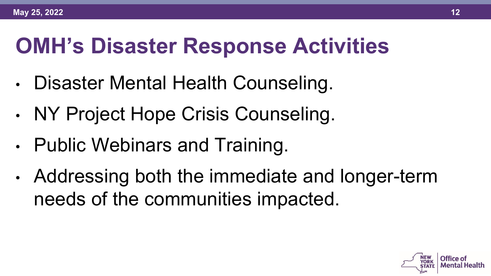# **OMH's Disaster Response Activities**

- Disaster Mental Health Counseling.
- NY Project Hope Crisis Counseling.
- Public Webinars and Training.
- Addressing both the immediate and longer-term needs of the communities impacted.

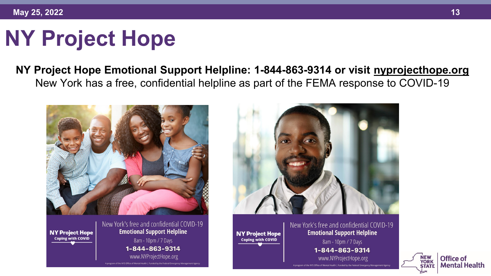# **NY Project Hope**

**NY Project Hope Emotional Support Helpline: 1-844-863-9314 or visit [nyprojecthope.org](https://nyprojecthope.org/)** New York has a free, confidential helpline as part of the FEMA response to COVID-19



A program of the NYS Office of Mental Health | Funded by the Federal Emergency Management Agenc



New York's free and confidential COVID-19 **Emotional Support Helpline** 8am - 10pm / 7 Days 1-844-863-9314 www.NYProjectHope.org

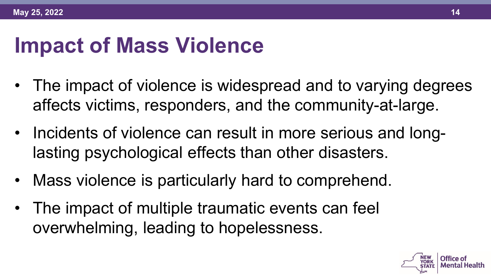## **Impact of Mass Violence**

- The impact of violence is widespread and to varying degrees affects victims, responders, and the community-at-large.
- Incidents of violence can result in more serious and longlasting psychological effects than other disasters.
- Mass violence is particularly hard to comprehend.
- The impact of multiple traumatic events can feel overwhelming, leading to hopelessness.

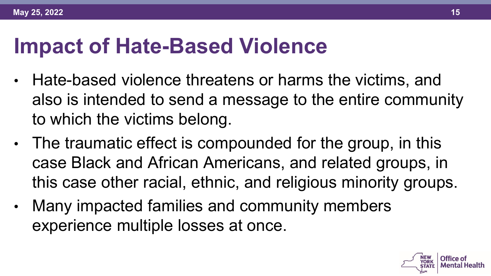### **Impact of Hate-Based Violence**

- Hate-based violence threatens or harms the victims, and also is intended to send a message to the entire community to which the victims belong.
- The traumatic effect is compounded for the group, in this case Black and African Americans, and related groups, in this case other racial, ethnic, and religious minority groups.
- Many impacted families and community members experience multiple losses at once.

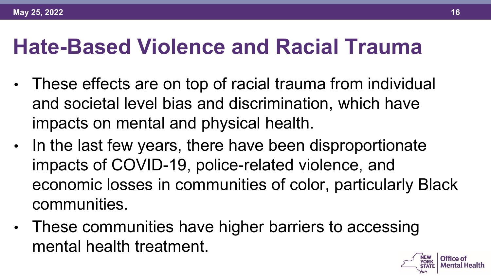#### **Hate-Based Violence and Racial Trauma**

- These effects are on top of racial trauma from individual and societal level bias and discrimination, which have impacts on mental and physical health.
- In the last few years, there have been disproportionate impacts of COVID-19, police-related violence, and economic losses in communities of color, particularly Black communities.
- These communities have higher barriers to accessing mental health treatment.

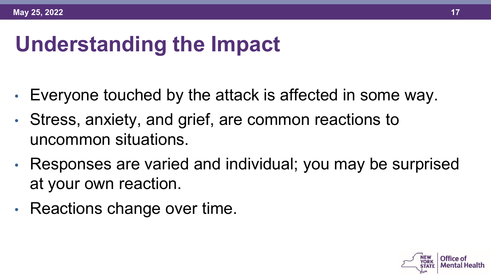# **Understanding the Impact**

- Everyone touched by the attack is affected in some way.
- Stress, anxiety, and grief, are common reactions to uncommon situations.
- Responses are varied and individual; you may be surprised at your own reaction.
- Reactions change over time.

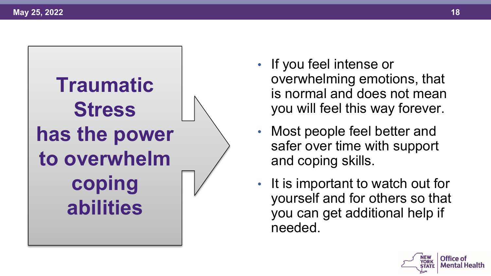

- If you feel intense or overwhelming emotions, that is normal and does not mean you will feel this way forever.
- Most people feel better and safer over time with support and coping skills.
- It is important to watch out for yourself and for others so that you can get additional help if needed.

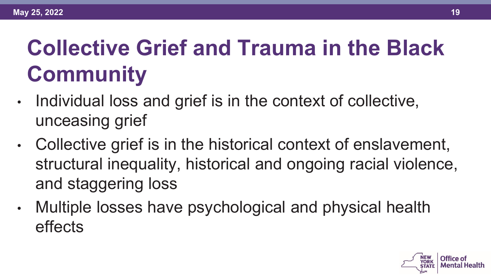# **Collective Grief and Trauma in the Black Community**

- Individual loss and grief is in the context of collective, unceasing grief
- Collective grief is in the historical context of enslavement, structural inequality, historical and ongoing racial violence, and staggering loss
- Multiple losses have psychological and physical health effects

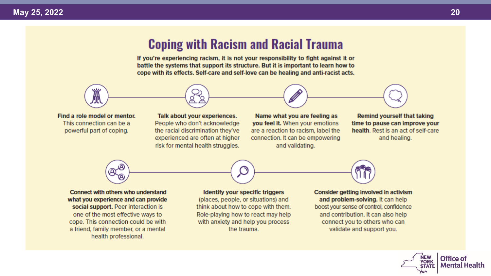#### **Coping with Racism and Racial Trauma**

If you're experiencing racism, it is not your responsibility to flght against it or battle the systems that support its structure. But it is important to learn how to cope with its effects. Self-care and self-love can be healing and anti-racist acts.



Find a role model or mentor. This connection can be a powerful part of coping.

Talk about your experiences. People who don't acknowledge the racial discrimination they've experienced are often at higher risk for mental health struggles.

Name what you are feeling as you feel it. When your emotions are a reaction to racism, label the connection. It can be empowering and validating.

**Remind yourself that taking** time to pause can improve your health. Rest is an act of self-care and healing.



**Connect with others who understand** what you experience and can provide social support. Peer interaction is one of the most effective ways to cope. This connection could be with a friend, family member, or a mental health professional.

Identify your specific triggers (places, people, or situations) and think about how to cope with them. Role-playing how to react may help with anxiety and help you process the trauma.



Consider getting involved in activism and problem-solving. It can help boost your sense of control, confidence and contribution. It can also help connect you to others who can validate and support you.

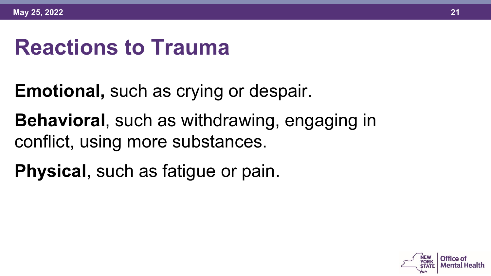# **Reactions to Trauma**

- **Emotional,** such as crying or despair.
- **Behavioral**, such as withdrawing, engaging in conflict, using more substances.
- **Physical**, such as fatigue or pain.

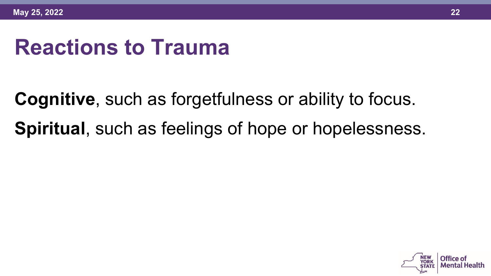# **Reactions to Trauma**

**Cognitive**, such as forgetfulness or ability to focus. **Spiritual**, such as feelings of hope or hopelessness.

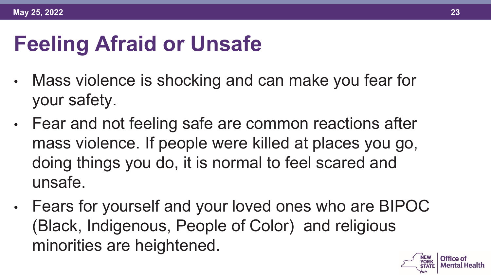# **Feeling Afraid or Unsafe**

- Mass violence is shocking and can make you fear for your safety.
- Fear and not feeling safe are common reactions after mass violence. If people were killed at places you go, doing things you do, it is normal to feel scared and unsafe.
- Fears for yourself and your loved ones who are BIPOC (Black, Indigenous, People of Color) and religious minorities are heightened.

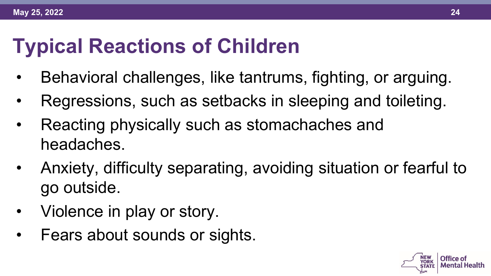### **Typical Reactions of Children**

- Behavioral challenges, like tantrums, fighting, or arguing.
- Regressions, such as setbacks in sleeping and toileting.
- Reacting physically such as stomachaches and headaches.
- Anxiety, difficulty separating, avoiding situation or fearful to go outside.
- Violence in play or story.
- Fears about sounds or sights.

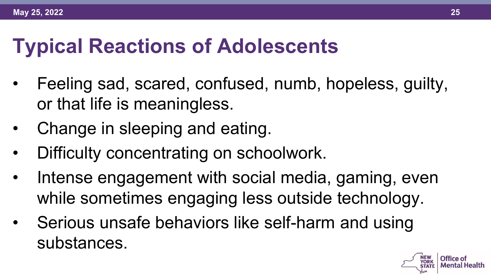#### **Typical Reactions of Adolescents**

- Feeling sad, scared, confused, numb, hopeless, guilty, or that life is meaningless.
- Change in sleeping and eating.
- Difficulty concentrating on schoolwork.
- Intense engagement with social media, gaming, even while sometimes engaging less outside technology.
- Serious unsafe behaviors like self-harm and using substances.

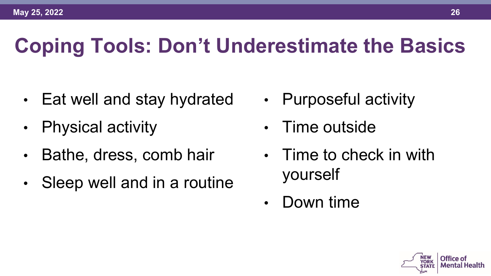# **Coping Tools: Don't Underestimate the Basics**

- Eat well and stay hydrated
- Physical activity
- Bathe, dress, comb hair
- Sleep well and in a routine
- Purposeful activity
- Time outside
- Time to check in with yourself
- Down time

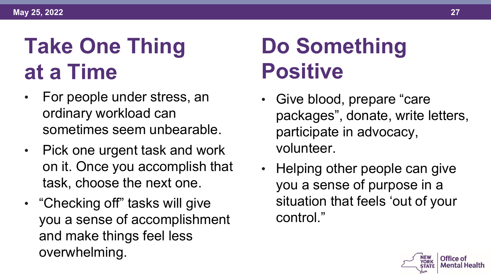# **at a Time 2020 Positive Take One Thing**

- For people under stress, an ordinary workload can sometimes seem unbearable.
- Pick one urgent task and work on it. Once you accomplish that task, choose the next one.
- "Checking off" tasks will give you a sense of accomplishment and make things feel less overwhelming.

# **Do Something**

- Give blood, prepare "care packages", donate, write letters, participate in advocacy, volunteer.
- Helping other people can give you a sense of purpose in a situation that feels 'out of your control."

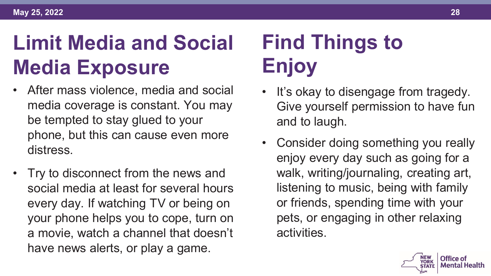# **Media Exposure Enjoy Limit Media and Social**

- After mass violence, media and social media coverage is constant. You may be tempted to stay glued to your phone, but this can cause even more distress.
- Try to disconnect from the news and social media at least for several hours every day. If watching TV or being on your phone helps you to cope, turn on a movie, watch a channel that doesn't have news alerts, or play a game.

# **Find Things to**

- It's okay to disengage from tragedy. Give yourself permission to have fun and to laugh.
- Consider doing something you really enjoy every day such as going for a walk, writing/journaling, creating art, listening to music, being with family or friends, spending time with your pets, or engaging in other relaxing activities.

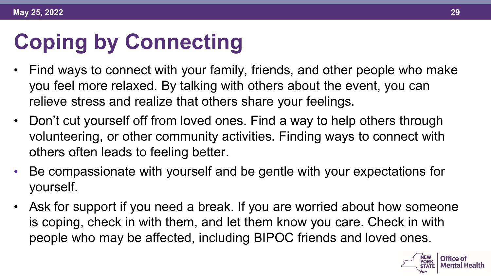# **Coping by Connecting**

- Find ways to connect with your family, friends, and other people who make you feel more relaxed. By talking with others about the event, you can relieve stress and realize that others share your feelings.
- Don't cut yourself off from loved ones. Find a way to help others through volunteering, or other community activities. Finding ways to connect with others often leads to feeling better.
- Be compassionate with yourself and be gentle with your expectations for yourself.
- Ask for support if you need a break. If you are worried about how someone is coping, check in with them, and let them know you care. Check in with people who may be affected, including BIPOC friends and loved ones.

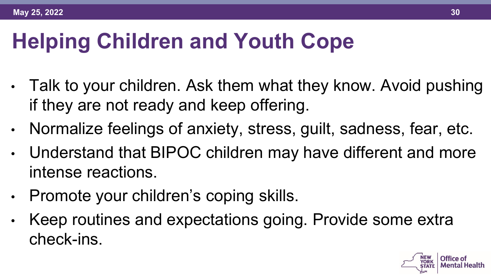# **Helping Children and Youth Cope**

- Talk to your children. Ask them what they know. Avoid pushing if they are not ready and keep offering.
- Normalize feelings of anxiety, stress, guilt, sadness, fear, etc.
- Understand that BIPOC children may have different and more intense reactions.
- Promote your children's coping skills.
- Keep routines and expectations going. Provide some extra check-ins.

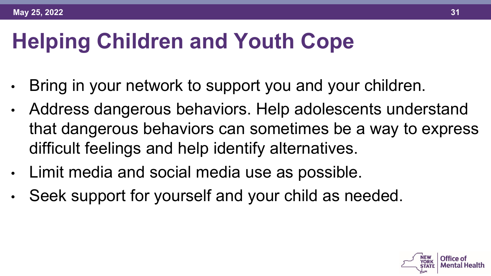# **Helping Children and Youth Cope**

- Bring in your network to support you and your children.
- Address dangerous behaviors. Help adolescents understand that dangerous behaviors can sometimes be a way to express difficult feelings and help identify alternatives.
- Limit media and social media use as possible.
- Seek support for yourself and your child as needed.

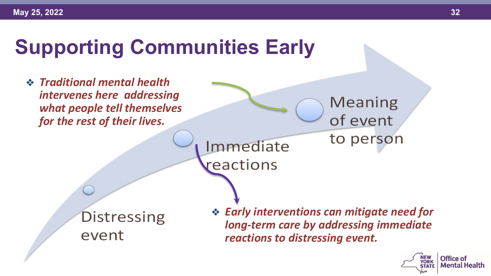# **Supporting Communities Early**

❖ *Traditional mental health intervenes here addressing what people tell themselves for the rest of their lives.*

> Immediate reactions

Distressing event

❖ *Early interventions can mitigate need for long-term care by addressing immediate reactions to distressing event.* 

**Meaning** 

of event

to person

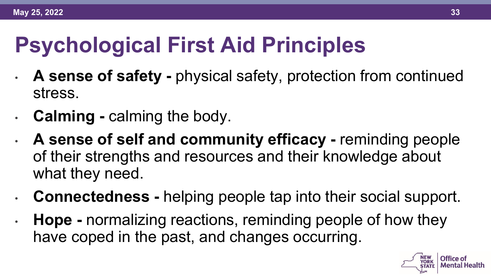# **Psychological First Aid Principles**

- **A sense of safety -** physical safety, protection from continued stress.
- **Calming -** calming the body.
- **A sense of self and community efficacy -** reminding people of their strengths and resources and their knowledge about what they need.
- **Connectedness -** helping people tap into their social support.
- **Hope -** normalizing reactions, reminding people of how they have coped in the past, and changes occurring.

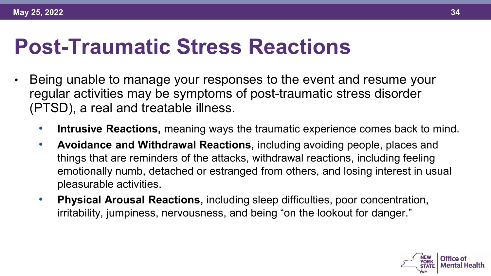#### **Post-Traumatic Stress Reactions**

- Being unable to manage your responses to the event and resume your regular activities may be symptoms of post-traumatic stress disorder (PTSD), a real and treatable illness.
	- **Intrusive Reactions,** meaning ways the traumatic experience comes back to mind.
	- **Avoidance and Withdrawal Reactions,** including avoiding people, places and things that are reminders of the attacks, withdrawal reactions, including feeling emotionally numb, detached or estranged from others, and losing interest in usual pleasurable activities.
	- **Physical Arousal Reactions,** including sleep difficulties, poor concentration, irritability, jumpiness, nervousness, and being "on the lookout for danger."

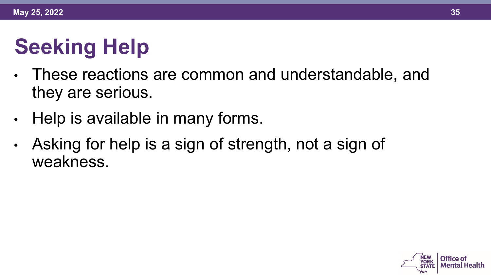# **Seeking Help**

- These reactions are common and understandable, and they are serious.
- Help is available in many forms.
- Asking for help is a sign of strength, not a sign of weakness.

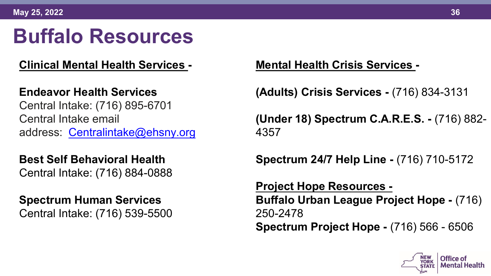# **Buffalo Resources**

#### **Clinical Mental Health Services -**

#### **Endeavor Health Services**

Central Intake: (716) 895-6701 Central Intake email address: [Centralintake@ehsny.org](mailto:Centralintake@ehsny.org)

**Best Self Behavioral Health** Central Intake: (716) 884-0888

#### **Spectrum Human Services** Central Intake: (716) 539-5500

**Mental Health Crisis Services -**

**(Adults) Crisis Services -** (716) 834-3131

**(Under 18) Spectrum C.A.R.E.S. -** (716) 882- 4357

**Spectrum 24/7 Help Line -** (716) 710-5172

**Project Hope Resources - Buffalo Urban League Project Hope -** (716) 250-2478 **Spectrum Project Hope -** (716) 566 - 6506

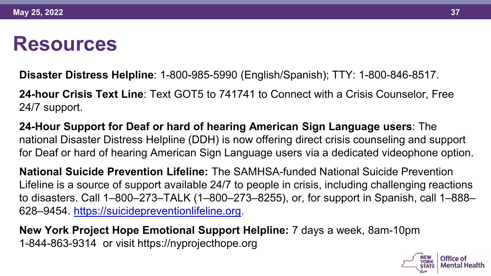#### **Resources**

**Disaster Distress Helpline**: 1-800-985-5990 (English/Spanish); TTY: 1-800-846-8517.

**24-hour Crisis Text Line**: Text GOT5 to 741741 to Connect with a Crisis Counselor, Free 24/7 support.

**24-Hour Support for Deaf or hard of hearing American Sign Language users**: The national Disaster Distress Helpline (DDH) is now offering direct crisis counseling and support for Deaf or hard of hearing American Sign Language users via a dedicated videophone option.

**National Suicide Prevention Lifeline:** The SAMHSA-funded National Suicide Prevention Lifeline is a source of support available 24/7 to people in crisis, including challenging reactions to disasters. Call 1–800–273–TALK (1–800–273–8255), or, for support in Spanish, call 1–888– 628–9454. [https://suicidepreventionlifeline.org.](https://suicidepreventionlifeline.org/)

**New York Project Hope Emotional Support Helpline:** 7 days a week, 8am-10pm 1-844-863-9314 or visit https://nyprojecthope.org

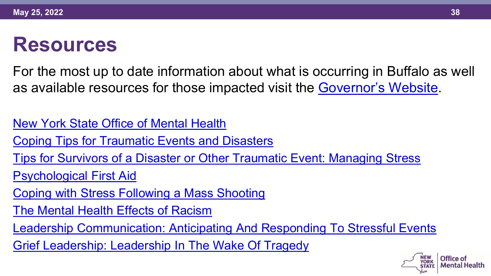#### **Resources**

For the most up to date information about what is occurring in Buffalo as well as available resources for those impacted visit the [Governor's Website](https://www.ny.gov/resources-services-residents-impacted-buffalo-shooting).

[New York State Office of Mental Health](https://omh.ny.gov/)

[Coping Tips for Traumatic Events and Disasters](https://www.samhsa.gov/find-help/disaster-distress-helpline/coping-tips)

[Tips for Survivors of a Disaster or Other Traumatic Event: Managing Stress](https://store.samhsa.gov/product/Tips-for-Survivors-of-a-Disaster-or-Other-Traumatic-Event-Managing-Stress/SMA13-4776)

[Psychological First Aid](https://www.nctsn.org/resources/psychological-first-aid-pfa-field-operations-guide-2nd-edition)

[Coping with Stress Following a Mass Shooting](https://www.cstsonline.org/assets/media/documents/CSTS_FS_Coping_with_Stress_Following_Mass_Shooting.pdf)

[The Mental Health Effects of Racism](https://omh.ny.gov/omhweb/cultural_competence/the_mental_health_effects_of_racism.pdf)

[Leadership Communication: Anticipating And Responding To Stressful Events](https://www.cstsonline.org/resources/resource-master-list/leadership-communication-anticipating-responding-stressful-events)

[Grief Leadership: Leadership In The Wake Of Tragedy](https://www.cstsonline.org/resources/resource-master-list/grief-leadership-leadership-in-the-wake-of-tragedy)

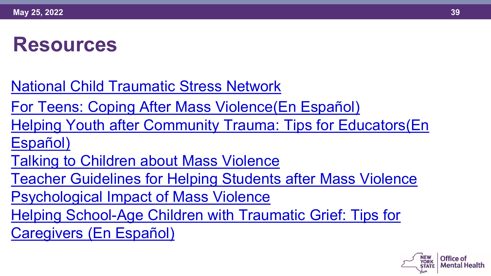#### **Resources**

[National Child Traumatic Stress Network](https://www.nctsn.org/resources/psychological-first-aid-pfa-field-operations-guide-2nd-edition)

[For Teens: Coping After Mass Violence\(En](https://gcc02.safelinks.protection.outlook.com/?url=https%3A%2F%2Fwww.nctsn.org%2Fsites%2Fdefault%2Ffiles%2Fresources%2Ffact-sheet%2Ffor_teens_coping_after_mass_violence.pdf&data=05%7C01%7CSara.Riggins%40omh.ny.gov%7Cd3ecc14feb12422216b308da374b5806%7Cf46cb8ea79004d108ceb80e8c1c81ee7%7C0%7C0%7C637883094009854447%7CUnknown%7CTWFpbGZsb3d8eyJWIjoiMC4wLjAwMDAiLCJQIjoiV2luMzIiLCJBTiI6Ik1haWwiLCJXVCI6Mn0%3D%7C3000%7C%7C%7C&sdata=wQZuJVvw592AS0n39Skx0u5TLklTxYfHdaHL4PFxrBU%3D&reserved=0) [Español](https://gcc02.safelinks.protection.outlook.com/?url=https%3A%2F%2Fwww.nctsn.org%2Fresources%2Ffor-teens-coping-after-mass-violence-sp&data=05%7C01%7CSara.Riggins%40omh.ny.gov%7Cd3ecc14feb12422216b308da374b5806%7Cf46cb8ea79004d108ceb80e8c1c81ee7%7C0%7C0%7C637883094009854447%7CUnknown%7CTWFpbGZsb3d8eyJWIjoiMC4wLjAwMDAiLCJQIjoiV2luMzIiLCJBTiI6Ik1haWwiLCJXVCI6Mn0%3D%7C3000%7C%7C%7C&sdata=%2FipS1ZzhVnyvRSFUKYQEaw6UvXKPLnEp5ob5tU%2B4lzs%3D&reserved=0))

[Helping Youth after Community Trauma: Tips for Educators\(E](https://gcc02.safelinks.protection.outlook.com/?url=https%3A%2F%2Fwww.nctsn.org%2Fresources%2Fhelping-youth-after-community-trauma-tips-educators-sp&data=05%7C01%7CSara.Riggins%40omh.ny.gov%7Cd3ecc14feb12422216b308da374b5806%7Cf46cb8ea79004d108ceb80e8c1c81ee7%7C0%7C0%7C637883094009854447%7CUnknown%7CTWFpbGZsb3d8eyJWIjoiMC4wLjAwMDAiLCJQIjoiV2luMzIiLCJBTiI6Ik1haWwiLCJXVCI6Mn0%3D%7C3000%7C%7C%7C&sdata=qzFLTR9iQxL1EknaunTv%2FfPmUbhCHXoUxd0siuMTop8%3D&reserved=0)[n](https://gcc02.safelinks.protection.outlook.com/?url=https%3A%2F%2Fwww.nctsn.org%2Fresources%2Fhelping-youth-after-community-trauma-tips-educators&data=05%7C01%7CSara.Riggins%40omh.ny.gov%7Cd3ecc14feb12422216b308da374b5806%7Cf46cb8ea79004d108ceb80e8c1c81ee7%7C0%7C0%7C637883094009854447%7CUnknown%7CTWFpbGZsb3d8eyJWIjoiMC4wLjAwMDAiLCJQIjoiV2luMzIiLCJBTiI6Ik1haWwiLCJXVCI6Mn0%3D%7C3000%7C%7C%7C&sdata=IlXmGMb3xPEf8vor57%2F5DP6BVPDSEN7H7tidSMp22PE%3D&reserved=0) Español)

[Talking to Children about Mass Violence](https://gcc02.safelinks.protection.outlook.com/?url=https%3A%2F%2Fwww.nctsn.org%2Fresources%2Ftalking-children-about-mass-violence&data=05%7C01%7CSara.Riggins%40omh.ny.gov%7Cd3ecc14feb12422216b308da374b5806%7Cf46cb8ea79004d108ceb80e8c1c81ee7%7C0%7C0%7C637883094009854447%7CUnknown%7CTWFpbGZsb3d8eyJWIjoiMC4wLjAwMDAiLCJQIjoiV2luMzIiLCJBTiI6Ik1haWwiLCJXVCI6Mn0%3D%7C3000%7C%7C%7C&sdata=gZJe4fpqjBHnlz39xvkoyNh51dIz6z39hpwXo3hbowE%3D&reserved=0)

[Teacher Guidelines for Helping Students after Mass Violence](https://gcc02.safelinks.protection.outlook.com/?url=https%3A%2F%2Fwww.nctsn.org%2Fresources%2Fteacher-guidelines-helping-students-after-mass-violence&data=05%7C01%7CSara.Riggins%40omh.ny.gov%7Cd3ecc14feb12422216b308da374b5806%7Cf46cb8ea79004d108ceb80e8c1c81ee7%7C0%7C0%7C637883094009854447%7CUnknown%7CTWFpbGZsb3d8eyJWIjoiMC4wLjAwMDAiLCJQIjoiV2luMzIiLCJBTiI6Ik1haWwiLCJXVCI6Mn0%3D%7C3000%7C%7C%7C&sdata=YJUvcW1AEtwLiE5hxR4eAAsj2VHyXqXWAbJDncyhGus%3D&reserved=0)

[Psychological Impact of Mass Violence](https://gcc02.safelinks.protection.outlook.com/?url=https%3A%2F%2Fwww.nctsn.org%2Fresources%2Fpsychological-impact-mass-violence&data=05%7C01%7CSara.Riggins%40omh.ny.gov%7Cd3ecc14feb12422216b308da374b5806%7Cf46cb8ea79004d108ceb80e8c1c81ee7%7C0%7C0%7C637883094009854447%7CUnknown%7CTWFpbGZsb3d8eyJWIjoiMC4wLjAwMDAiLCJQIjoiV2luMzIiLCJBTiI6Ik1haWwiLCJXVCI6Mn0%3D%7C3000%7C%7C%7C&sdata=1yvwLgrnmd%2FO%2FbHZ%2BE0L0MOTLMpD232QlEVay599mQQ%3D&reserved=0)

[Helping School-Age Children with Traumatic Grief: Tips for](https://gcc02.safelinks.protection.outlook.com/?url=https%3A%2F%2Furldefense.proofpoint.com%2Fv2%2Furl%3Fu%3Dhttps-3A__www.nctsn.org_resources_helping-2Dschool-2Dage-2Dchildren-2Dtraumatic-2Dgrief-2Dtips-2Dcaregivers%26d%3DDwMF-g%26c%3DUXmaowRpu5bLSLEQRunJ2z-YIUZuUoa9Rw_x449Hd_Y%26r%3DhzomOGg2G27ZjuZegYWWfu4EgrpiGCT_JunBM07Lj7Q%26m%3DPBo3q666RV0D6LuBFBnhXOvT09TTW0IR5fip18WrYZk%26s%3DZWzXei6w0w2OpuzcyeZOJ33CNYucR4qIxFhFhlnDYAQ%26e%3D&data=05%7C01%7CSara.Riggins%40omh.ny.gov%7Cd3ecc14feb12422216b308da374b5806%7Cf46cb8ea79004d108ceb80e8c1c81ee7%7C0%7C0%7C637883094010010671%7CUnknown%7CTWFpbGZsb3d8eyJWIjoiMC4wLjAwMDAiLCJQIjoiV2luMzIiLCJBTiI6Ik1haWwiLCJXVCI6Mn0%3D%7C3000%7C%7C%7C&sdata=SauvFdtxVAX65XtYKx6X6kcKpOyRKUkN6rhDaz1HKH8%3D&reserved=0)  Caregivers (En [Español](https://gcc02.safelinks.protection.outlook.com/?url=https%3A%2F%2Fwww.nctsn.org%2Fresources%2Fhelping-school-age-children-traumatic-grief-tips-caregivers-sp&data=05%7C01%7CSara.Riggins%40omh.ny.gov%7Cd3ecc14feb12422216b308da374b5806%7Cf46cb8ea79004d108ceb80e8c1c81ee7%7C0%7C0%7C637883094010010671%7CUnknown%7CTWFpbGZsb3d8eyJWIjoiMC4wLjAwMDAiLCJQIjoiV2luMzIiLCJBTiI6Ik1haWwiLCJXVCI6Mn0%3D%7C3000%7C%7C%7C&sdata=ftZdDsBolpZxDKVrMzjb1R10g6eYhHp6m1vm5696noo%3D&reserved=0))

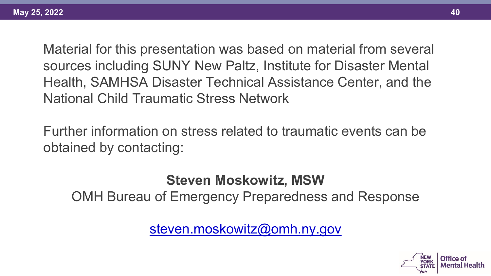Material for this presentation was based on material from several sources including SUNY New Paltz, Institute for Disaster Mental Health, SAMHSA Disaster Technical Assistance Center, and the National Child Traumatic Stress Network

Further information on stress related to traumatic events can be obtained by contacting:

**Steven Moskowitz, MSW** OMH Bureau of Emergency Preparedness and Response

[steven.moskowitz@omh.ny.gov](mailto:steven.moskowitz@omh.ny.gov)